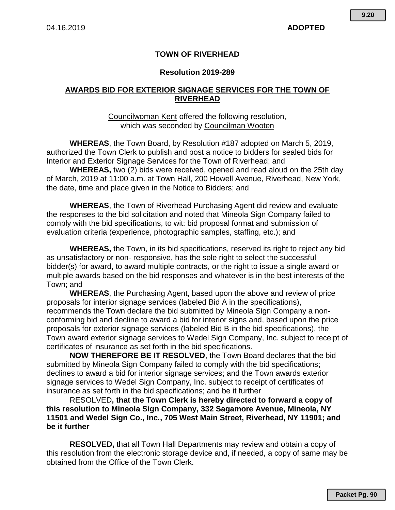## **TOWN OF RIVERHEAD**

### **Resolution 2019-289**

### **AWARDS BID FOR EXTERIOR SIGNAGE SERVICES FOR THE TOWN OF RIVERHEAD**

#### Councilwoman Kent offered the following resolution, which was seconded by Councilman Wooten

**WHEREAS**, the Town Board, by Resolution #187 adopted on March 5, 2019, authorized the Town Clerk to publish and post a notice to bidders for sealed bids for Interior and Exterior Signage Services for the Town of Riverhead; and

**WHEREAS,** two (2) bids were received, opened and read aloud on the 25th day of March, 2019 at 11:00 a.m. at Town Hall, 200 Howell Avenue, Riverhead, New York, the date, time and place given in the Notice to Bidders; and

**WHEREAS**, the Town of Riverhead Purchasing Agent did review and evaluate the responses to the bid solicitation and noted that Mineola Sign Company failed to comply with the bid specifications, to wit: bid proposal format and submission of evaluation criteria (experience, photographic samples, staffing, etc.); and

**WHEREAS,** the Town, in its bid specifications, reserved its right to reject any bid as unsatisfactory or non- responsive, has the sole right to select the successful bidder(s) for award, to award multiple contracts, or the right to issue a single award or multiple awards based on the bid responses and whatever is in the best interests of the Town; and

**WHEREAS**, the Purchasing Agent, based upon the above and review of price proposals for interior signage services (labeled Bid A in the specifications), recommends the Town declare the bid submitted by Mineola Sign Company a nonconforming bid and decline to award a bid for interior signs and, based upon the price proposals for exterior signage services (labeled Bid B in the bid specifications), the Town award exterior signage services to Wedel Sign Company, Inc. subject to receipt of certificates of insurance as set forth in the bid specifications.

**NOW THEREFORE BE IT RESOLVED**, the Town Board declares that the bid submitted by Mineola Sign Company failed to comply with the bid specifications; declines to award a bid for interior signage services; and the Town awards exterior signage services to Wedel Sign Company, Inc. subject to receipt of certificates of insurance as set forth in the bid specifications; and be it further

RESOLVED**, that the Town Clerk is hereby directed to forward a copy of this resolution to Mineola Sign Company, 332 Sagamore Avenue, Mineola, NY 11501 and Wedel Sign Co., Inc., 705 West Main Street, Riverhead, NY 11901; and be it further**

**RESOLVED,** that all Town Hall Departments may review and obtain a copy of this resolution from the electronic storage device and, if needed, a copy of same may be obtained from the Office of the Town Clerk.